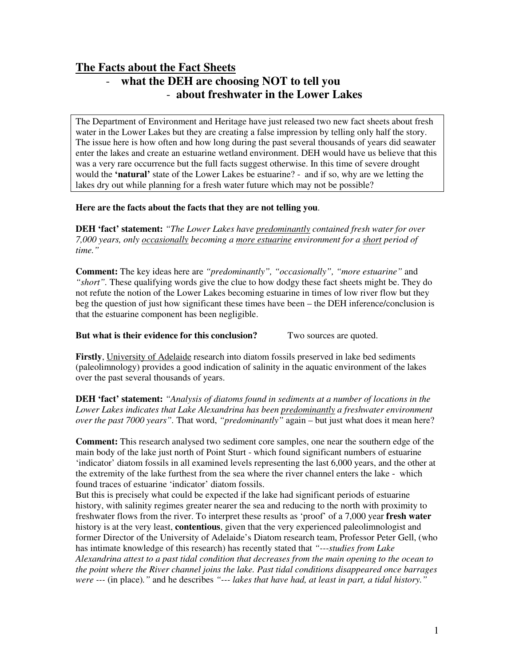# **The Facts about the Fact Sheets**  - **what the DEH are choosing NOT to tell you**  - **about freshwater in the Lower Lakes**

The Department of Environment and Heritage have just released two new fact sheets about fresh water in the Lower Lakes but they are creating a false impression by telling only half the story. The issue here is how often and how long during the past several thousands of years did seawater enter the lakes and create an estuarine wetland environment. DEH would have us believe that this was a very rare occurrence but the full facts suggest otherwise. In this time of severe drought would the **'natural'** state of the Lower Lakes be estuarine? - and if so, why are we letting the lakes dry out while planning for a fresh water future which may not be possible?

# **Here are the facts about the facts that they are not telling you**.

**DEH 'fact' statement:** *"The Lower Lakes have predominantly contained fresh water for over 7,000 years, only occasionally becoming a more estuarine environment for a short period of time."* 

**Comment:** The key ideas here are *"predominantly", "occasionally", "more estuarine"* and *"short".* These qualifying words give the clue to how dodgy these fact sheets might be. They do not refute the notion of the Lower Lakes becoming estuarine in times of low river flow but they beg the question of just how significant these times have been – the DEH inference/conclusion is that the estuarine component has been negligible.

## **But what is their evidence for this conclusion?** Two sources are quoted.

**Firstly**, University of Adelaide research into diatom fossils preserved in lake bed sediments (paleolimnology) provides a good indication of salinity in the aquatic environment of the lakes over the past several thousands of years.

**DEH 'fact' statement:** *"Analysis of diatoms found in sediments at a number of locations in the Lower Lakes indicates that Lake Alexandrina has been predominantly a freshwater environment over the past 7000 years".* That word, *"predominantly"* again – but just what does it mean here?

**Comment:** This research analysed two sediment core samples, one near the southern edge of the main body of the lake just north of Point Sturt - which found significant numbers of estuarine 'indicator' diatom fossils in all examined levels representing the last 6,000 years, and the other at the extremity of the lake furthest from the sea where the river channel enters the lake - which found traces of estuarine 'indicator' diatom fossils.

But this is precisely what could be expected if the lake had significant periods of estuarine history, with salinity regimes greater nearer the sea and reducing to the north with proximity to freshwater flows from the river. To interpret these results as 'proof' of a 7,000 year **fresh water** history is at the very least, **contentious**, given that the very experienced paleolimnologist and former Director of the University of Adelaide's Diatom research team, Professor Peter Gell, (who has intimate knowledge of this research) has recently stated that *"---studies from Lake Alexandrina attest to a past tidal condition that decreases from the main opening to the ocean to the point where the River channel joins the lake. Past tidal conditions disappeared once barrages were ---* (in place)*."* and he describes *"--- lakes that have had, at least in part, a tidal history."*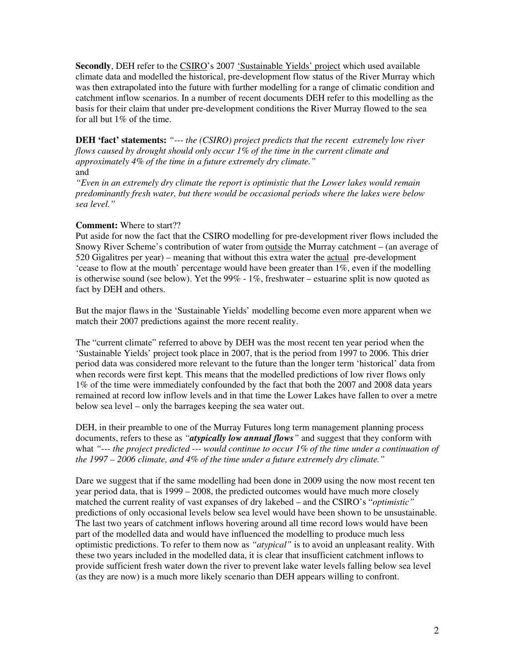**Secondly**, DEH refer to the CSIRO's 2007 'Sustainable Yields' project which used available climate data and modelled the historical, pre-development flow status of the River Murray which was then extrapolated into the future with further modelling for a range of climatic condition and catchment inflow scenarios. In a number of recent documents DEH refer to this modelling as the basis for their claim that under pre-development conditions the River Murray flowed to the sea for all but 1% of the time.

**DEH 'fact' statements:** *"--- the (CSIRO) project predicts that the recent extremely low river flows caused by drought should only occur 1% of the time in the current climate and approximately 4% of the time in a future extremely dry climate."* and

*"Even in an extremely dry climate the report is optimistic that the Lower lakes would remain predominantly fresh water, but there would be occasional periods where the lakes were below sea level."* 

## **Comment:** Where to start??

Put aside for now the fact that the CSIRO modelling for pre-development river flows included the Snowy River Scheme's contribution of water from outside the Murray catchment – (an average of 520 Gigalitres per year) – meaning that without this extra water the actual pre-development 'cease to flow at the mouth' percentage would have been greater than 1%, even if the modelling is otherwise sound (see below). Yet the 99% - 1%, freshwater – estuarine split is now quoted as fact by DEH and others.

But the major flaws in the 'Sustainable Yields' modelling become even more apparent when we match their 2007 predictions against the more recent reality.

The "current climate" referred to above by DEH was the most recent ten year period when the 'Sustainable Yields' project took place in 2007, that is the period from 1997 to 2006. This drier period data was considered more relevant to the future than the longer term 'historical' data from when records were first kept. This means that the modelled predictions of low river flows only 1% of the time were immediately confounded by the fact that both the 2007 and 2008 data years remained at record low inflow levels and in that time the Lower Lakes have fallen to over a metre below sea level – only the barrages keeping the sea water out.

DEH, in their preamble to one of the Murray Futures long term management planning process documents, refers to these as *"atypically low annual flows"* and suggest that they conform with what *"--- the project predicted --- would continue to occur 1% of the time under a continuation of the 1997 – 2006 climate, and 4% of the time under a future extremely dry climate."* 

Dare we suggest that if the same modelling had been done in 2009 using the now most recent ten year period data, that is 1999 – 2008, the predicted outcomes would have much more closely matched the current reality of vast expanses of dry lakebed – and the CSIRO's "*optimistic"* predictions of only occasional levels below sea level would have been shown to be unsustainable. The last two years of catchment inflows hovering around all time record lows would have been part of the modelled data and would have influenced the modelling to produce much less optimistic predictions. To refer to them now as *"atypical"* is to avoid an unpleasant reality. With these two years included in the modelled data, it is clear that insufficient catchment inflows to provide sufficient fresh water down the river to prevent lake water levels falling below sea level (as they are now) is a much more likely scenario than DEH appears willing to confront.